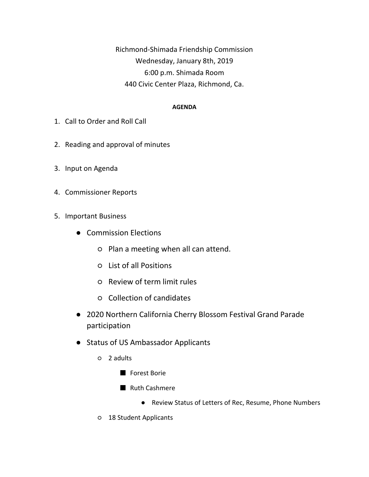Richmond-Shimada Friendship Commission Wednesday, January 8th, 2019 6:00 p.m. Shimada Room 440 Civic Center Plaza, Richmond, Ca.

## **AGENDA**

- 1. Call to Order and Roll Call
- 2. Reading and approval of minutes
- 3. Input on Agenda
- 4. Commissioner Reports
- 5. Important Business
	- Commission Elections
		- Plan a meeting when all can attend.
		- List of all Positions
		- Review of term limit rules
		- Collection of candidates
	- 2020 Northern California Cherry Blossom Festival Grand Parade participation
	- Status of US Ambassador Applicants
		- 2 adults
			- Forest Borie
			- Ruth Cashmere
				- Review Status of Letters of Rec, Resume, Phone Numbers
		- 18 Student Applicants